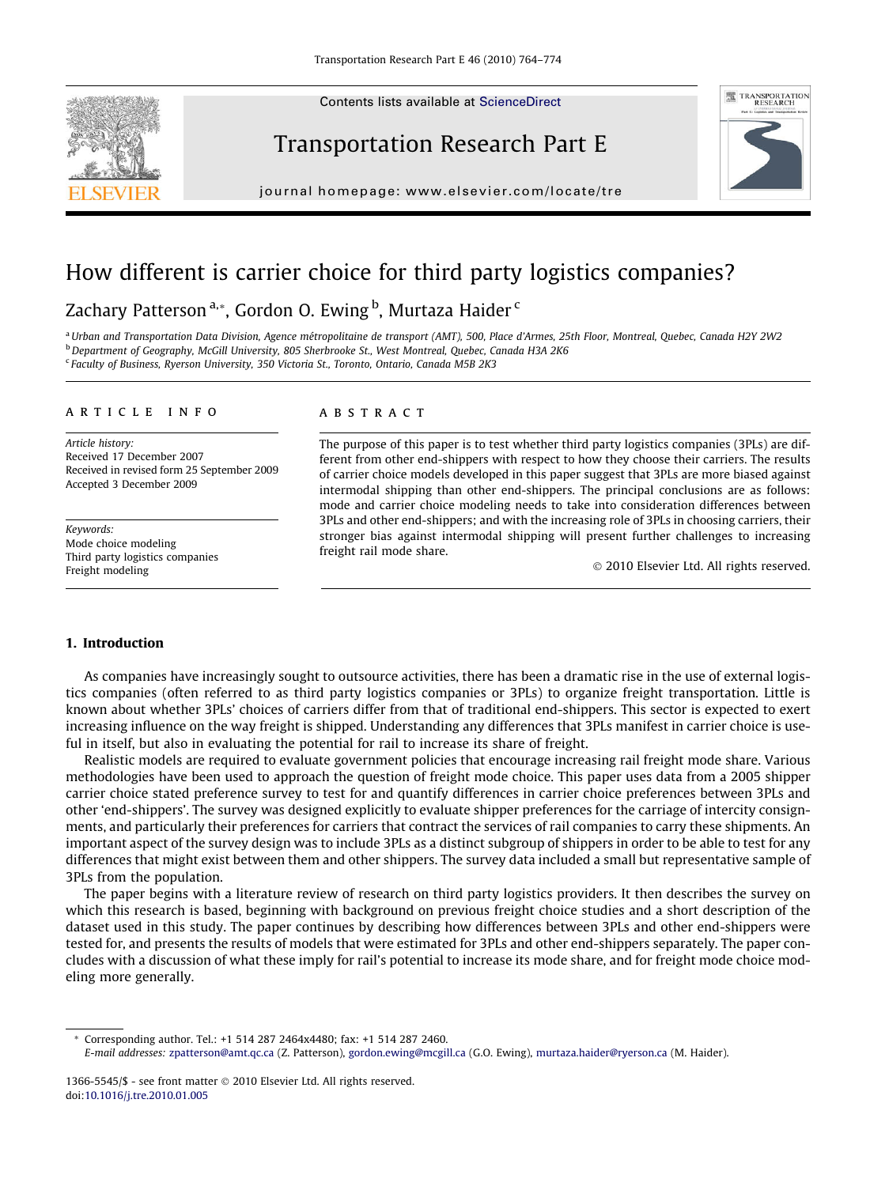Contents lists available at [ScienceDirect](http://www.sciencedirect.com/science/journal/13665545)







journal homepage: [www.elsevier.com/locate/tre](http://www.elsevier.com/locate/tre)

# How different is carrier choice for third party logistics companies?

# Zachary Patterson<sup>a,</sup>\*, Gordon O. Ewing <sup>b</sup>, Murtaza Haider <sup>c</sup>

<sup>a</sup> Urban and Transportation Data Division, Agence métropolitaine de transport (AMT), 500, Place d'Armes, 25th Floor, Montreal, Quebec, Canada H2Y 2W2 <sup>b</sup> Department of Geography, McGill University, 805 Sherbrooke St., West Montreal, Quebec, Canada H3A 2K6 <sup>c</sup> Faculty of Business, Ryerson University, 350 Victoria St., Toronto, Ontario, Canada M5B 2K3

#### article info

Article history: Received 17 December 2007 Received in revised form 25 September 2009 Accepted 3 December 2009

Keywords: Mode choice modeling Third party logistics companies Freight modeling

### **ABSTRACT**

The purpose of this paper is to test whether third party logistics companies (3PLs) are different from other end-shippers with respect to how they choose their carriers. The results of carrier choice models developed in this paper suggest that 3PLs are more biased against intermodal shipping than other end-shippers. The principal conclusions are as follows: mode and carrier choice modeling needs to take into consideration differences between 3PLs and other end-shippers; and with the increasing role of 3PLs in choosing carriers, their stronger bias against intermodal shipping will present further challenges to increasing freight rail mode share.

© 2010 Elsevier Ltd. All rights reserved.

## 1. Introduction

As companies have increasingly sought to outsource activities, there has been a dramatic rise in the use of external logistics companies (often referred to as third party logistics companies or 3PLs) to organize freight transportation. Little is known about whether 3PLs' choices of carriers differ from that of traditional end-shippers. This sector is expected to exert increasing influence on the way freight is shipped. Understanding any differences that 3PLs manifest in carrier choice is useful in itself, but also in evaluating the potential for rail to increase its share of freight.

Realistic models are required to evaluate government policies that encourage increasing rail freight mode share. Various methodologies have been used to approach the question of freight mode choice. This paper uses data from a 2005 shipper carrier choice stated preference survey to test for and quantify differences in carrier choice preferences between 3PLs and other 'end-shippers'. The survey was designed explicitly to evaluate shipper preferences for the carriage of intercity consignments, and particularly their preferences for carriers that contract the services of rail companies to carry these shipments. An important aspect of the survey design was to include 3PLs as a distinct subgroup of shippers in order to be able to test for any differences that might exist between them and other shippers. The survey data included a small but representative sample of 3PLs from the population.

The paper begins with a literature review of research on third party logistics providers. It then describes the survey on which this research is based, beginning with background on previous freight choice studies and a short description of the dataset used in this study. The paper continues by describing how differences between 3PLs and other end-shippers were tested for, and presents the results of models that were estimated for 3PLs and other end-shippers separately. The paper concludes with a discussion of what these imply for rail's potential to increase its mode share, and for freight mode choice modeling more generally.

<sup>\*</sup> Corresponding author. Tel.: +1 514 287 2464x4480; fax: +1 514 287 2460. E-mail addresses: [zpatterson@amt.qc.ca](mailto:zpatterson@amt.qc.ca) (Z. Patterson), [gordon.ewing@mcgill.ca](mailto:gordon.ewing@mcgill.ca) (G.O. Ewing), [murtaza.haider@ryerson.ca](mailto:murtaza.haider@ryerson.ca) (M. Haider).

<sup>1366-5545/\$ -</sup> see front matter  $\odot$  2010 Elsevier Ltd. All rights reserved. doi[:10.1016/j.tre.2010.01.005](http://dx.doi.org/10.1016/j.tre.2010.01.005)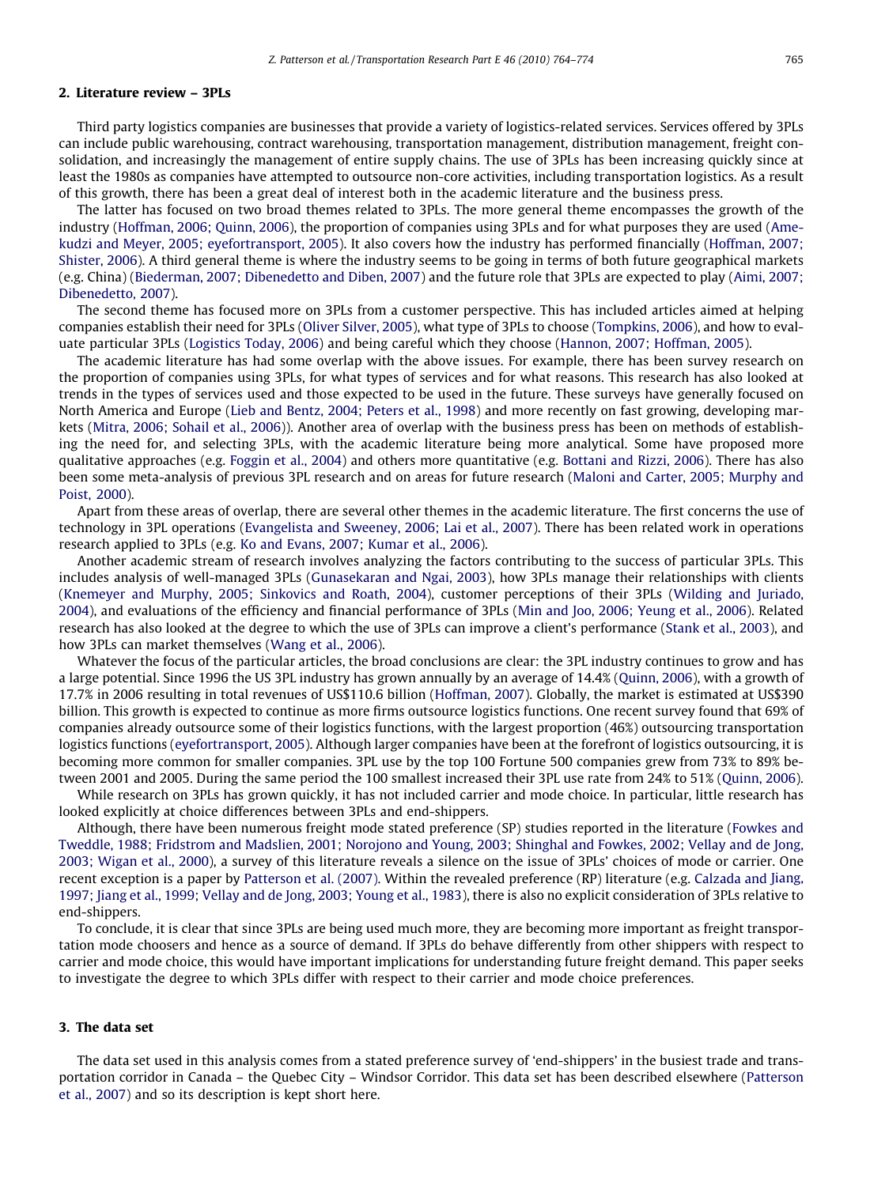### 2. Literature review – 3PLs

Third party logistics companies are businesses that provide a variety of logistics-related services. Services offered by 3PLs can include public warehousing, contract warehousing, transportation management, distribution management, freight consolidation, and increasingly the management of entire supply chains. The use of 3PLs has been increasing quickly since at least the 1980s as companies have attempted to outsource non-core activities, including transportation logistics. As a result of this growth, there has been a great deal of interest both in the academic literature and the business press.

The latter has focused on two broad themes related to 3PLs. The more general theme encompasses the growth of the industry ([Hoffman, 2006; Quinn, 2006](#page--1-0)), the proportion of companies using 3PLs and for what purposes they are used ([Ame](#page--1-0)[kudzi and Meyer, 2005; eyefortransport, 2005](#page--1-0)). It also covers how the industry has performed financially ([Hoffman, 2007;](#page--1-0) [Shister, 2006\)](#page--1-0). A third general theme is where the industry seems to be going in terms of both future geographical markets (e.g. China) [\(Biederman, 2007; Dibenedetto and Diben, 2007](#page--1-0)) and the future role that 3PLs are expected to play [\(Aimi, 2007;](#page--1-0) [Dibenedetto, 2007\)](#page--1-0).

The second theme has focused more on 3PLs from a customer perspective. This has included articles aimed at helping companies establish their need for 3PLs ([Oliver Silver, 2005](#page--1-0)), what type of 3PLs to choose ([Tompkins, 2006\)](#page--1-0), and how to evaluate particular 3PLs [\(Logistics Today, 2006\)](#page--1-0) and being careful which they choose ([Hannon, 2007; Hoffman, 2005\)](#page--1-0).

The academic literature has had some overlap with the above issues. For example, there has been survey research on the proportion of companies using 3PLs, for what types of services and for what reasons. This research has also looked at trends in the types of services used and those expected to be used in the future. These surveys have generally focused on North America and Europe [\(Lieb and Bentz, 2004; Peters et al., 1998\)](#page--1-0) and more recently on fast growing, developing markets [\(Mitra, 2006; Sohail et al., 2006\)](#page--1-0)). Another area of overlap with the business press has been on methods of establishing the need for, and selecting 3PLs, with the academic literature being more analytical. Some have proposed more qualitative approaches (e.g. [Foggin et al., 2004\)](#page--1-0) and others more quantitative (e.g. [Bottani and Rizzi, 2006\)](#page--1-0). There has also been some meta-analysis of previous 3PL research and on areas for future research ([Maloni and Carter, 2005; Murphy and](#page--1-0) [Poist, 2000](#page--1-0)).

Apart from these areas of overlap, there are several other themes in the academic literature. The first concerns the use of technology in 3PL operations [\(Evangelista and Sweeney, 2006; Lai et al., 2007\)](#page--1-0). There has been related work in operations research applied to 3PLs (e.g. [Ko and Evans, 2007; Kumar et al., 2006\)](#page--1-0).

Another academic stream of research involves analyzing the factors contributing to the success of particular 3PLs. This includes analysis of well-managed 3PLs ([Gunasekaran and Ngai, 2003\)](#page--1-0), how 3PLs manage their relationships with clients ([Knemeyer and Murphy, 2005; Sinkovics and Roath, 2004](#page--1-0)), customer perceptions of their 3PLs ([Wilding and Juriado,](#page--1-0) [2004\)](#page--1-0), and evaluations of the efficiency and financial performance of 3PLs [\(Min and Joo, 2006; Yeung et al., 2006](#page--1-0)). Related research has also looked at the degree to which the use of 3PLs can improve a client's performance ([Stank et al., 2003\)](#page--1-0), and how 3PLs can market themselves [\(Wang et al., 2006](#page--1-0)).

Whatever the focus of the particular articles, the broad conclusions are clear: the 3PL industry continues to grow and has a large potential. Since 1996 the US 3PL industry has grown annually by an average of 14.4% [\(Quinn, 2006](#page--1-0)), with a growth of 17.7% in 2006 resulting in total revenues of US\$110.6 billion [\(Hoffman, 2007](#page--1-0)). Globally, the market is estimated at US\$390 billion. This growth is expected to continue as more firms outsource logistics functions. One recent survey found that 69% of companies already outsource some of their logistics functions, with the largest proportion (46%) outsourcing transportation logistics functions ([eyefortransport, 2005\)](#page--1-0). Although larger companies have been at the forefront of logistics outsourcing, it is becoming more common for smaller companies. 3PL use by the top 100 Fortune 500 companies grew from 73% to 89% between 2001 and 2005. During the same period the 100 smallest increased their 3PL use rate from 24% to 51% [\(Quinn, 2006](#page--1-0)).

While research on 3PLs has grown quickly, it has not included carrier and mode choice. In particular, little research has looked explicitly at choice differences between 3PLs and end-shippers.

Although, there have been numerous freight mode stated preference (SP) studies reported in the literature [\(Fowkes and](#page--1-0) [Tweddle, 1988; Fridstrom and Madslien, 2001; Norojono and Young, 2003; Shinghal and Fowkes, 2002; Vellay and de Jong,](#page--1-0) [2003; Wigan et al., 2000\)](#page--1-0), a survey of this literature reveals a silence on the issue of 3PLs' choices of mode or carrier. One recent exception is a paper by [Patterson et al. \(2007\)](#page--1-0). Within the revealed preference (RP) literature (e.g. [Calzada](#page--1-0) and Jiang, [1997; Jiang et al., 1999; Vellay and de Jong, 2003; Young et al., 1983](#page--1-0)), there is also no explicit consideration of 3PLs relative to end-shippers.

To conclude, it is clear that since 3PLs are being used much more, they are becoming more important as freight transportation mode choosers and hence as a source of demand. If 3PLs do behave differently from other shippers with respect to carrier and mode choice, this would have important implications for understanding future freight demand. This paper seeks to investigate the degree to which 3PLs differ with respect to their carrier and mode choice preferences.

#### 3. The data set

The data set used in this analysis comes from a stated preference survey of 'end-shippers' in the busiest trade and transportation corridor in Canada – the Quebec City – Windsor Corridor. This data set has been described elsewhere [\(Patterson](#page--1-0) [et al., 2007\)](#page--1-0) and so its description is kept short here.